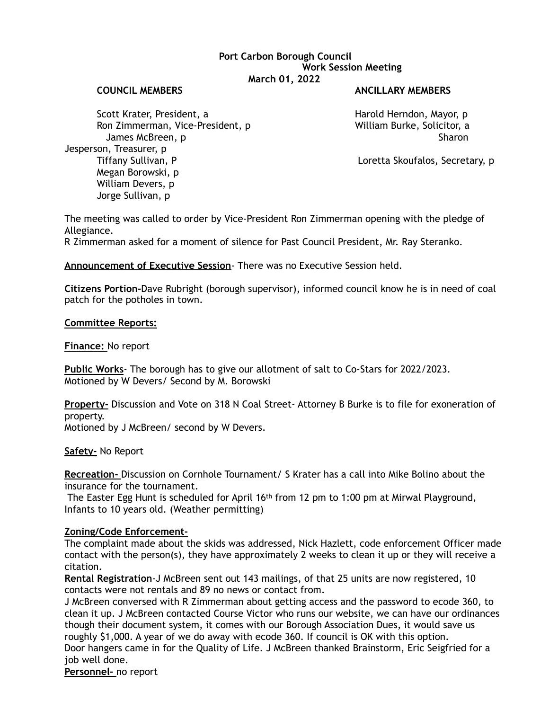# **Port Carbon Borough Council Work Session Meeting March 01, 2022**

#### **COUNCIL MEMBERS ANCILLARY MEMBERS**

Scott Krater, President, a **Harold Herndon, Mayor, p** Harold Herndon, Mayor, p Ron Zimmerman, Vice-President, p William Burke, Solicitor, a James McBreen, p Sharon Sharon Sharon Sharon Sharon Sharon Sharon Sharon Sharon Sharon Sharon Sharon Sharon Sharon Jesperson, Treasurer, p Tiffany Sullivan, P Loretta Skoufalos, Secretary, p Megan Borowski, p William Devers, p Jorge Sullivan, p

The meeting was called to order by Vice-President Ron Zimmerman opening with the pledge of Allegiance.

R Zimmerman asked for a moment of silence for Past Council President, Mr. Ray Steranko.

# **Announcement of Executive Session**- There was no Executive Session held.

**Citizens Portion-**Dave Rubright (borough supervisor), informed council know he is in need of coal patch for the potholes in town.

## **Committee Reports:**

**Finance:** No report

**Public Works**- The borough has to give our allotment of salt to Co-Stars for 2022/2023. Motioned by W Devers/ Second by M. Borowski

**Property-** Discussion and Vote on 318 N Coal Street- Attorney B Burke is to file for exoneration of property.

Motioned by J McBreen/ second by W Devers.

## **Safety-** No Report

**Recreation-** Discussion on Cornhole Tournament/ S Krater has a call into Mike Bolino about the insurance for the tournament.

 The Easter Egg Hunt is scheduled for April 16th from 12 pm to 1:00 pm at Mirwal Playground, Infants to 10 years old. (Weather permitting)

## **Zoning/Code Enforcement-**

The complaint made about the skids was addressed, Nick Hazlett, code enforcement Officer made contact with the person(s), they have approximately 2 weeks to clean it up or they will receive a citation.

**Rental Registration**-J McBreen sent out 143 mailings, of that 25 units are now registered, 10 contacts were not rentals and 89 no news or contact from.

J McBreen conversed with R Zimmerman about getting access and the password to ecode 360, to clean it up. J McBreen contacted Course Victor who runs our website, we can have our ordinances though their document system, it comes with our Borough Association Dues, it would save us roughly \$1,000. A year of we do away with ecode 360. If council is OK with this option. Door hangers came in for the Quality of Life. J McBreen thanked Brainstorm, Eric Seigfried for a job well done.

**Personnel-** no report